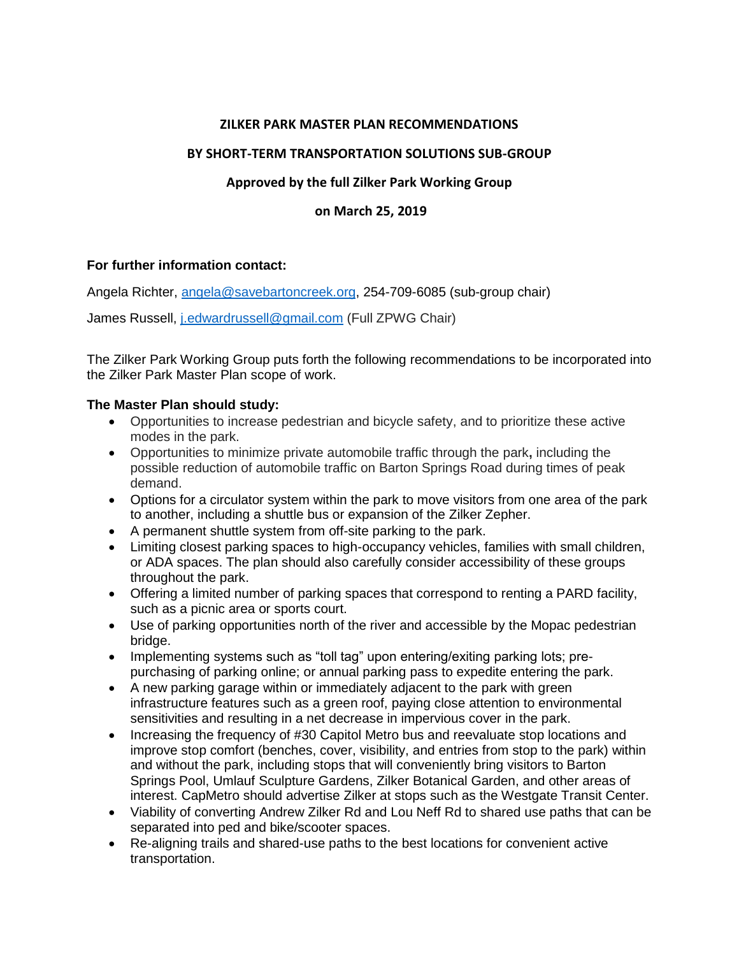#### **ZILKER PARK MASTER PLAN RECOMMENDATIONS**

## **BY SHORT-TERM TRANSPORTATION SOLUTIONS SUB-GROUP**

# **Approved by the full Zilker Park Working Group**

### **on March 25, 2019**

### **For further information contact:**

Angela Richter, [angela@savebartoncreek.org,](mailto:angela@savebartoncreek.org) 254-709-6085 (sub-group chair)

James Russell, [j.edwardrussell@gmail.com](mailto:j.edwardrussell@gmail.com) (Full ZPWG Chair)

The Zilker Park Working Group puts forth the following recommendations to be incorporated into the Zilker Park Master Plan scope of work.

### **The Master Plan should study:**

- Opportunities to increase pedestrian and bicycle safety, and to prioritize these active modes in the park.
- Opportunities to minimize private automobile traffic through the park**,** including the possible reduction of automobile traffic on Barton Springs Road during times of peak demand.
- Options for a circulator system within the park to move visitors from one area of the park to another, including a shuttle bus or expansion of the Zilker Zepher.
- A permanent shuttle system from off-site parking to the park.
- Limiting closest parking spaces to high-occupancy vehicles, families with small children, or ADA spaces. The plan should also carefully consider accessibility of these groups throughout the park.
- Offering a limited number of parking spaces that correspond to renting a PARD facility, such as a picnic area or sports court.
- Use of parking opportunities north of the river and accessible by the Mopac pedestrian bridge.
- Implementing systems such as "toll tag" upon entering/exiting parking lots; prepurchasing of parking online; or annual parking pass to expedite entering the park.
- A new parking garage within or immediately adjacent to the park with green infrastructure features such as a green roof, paying close attention to environmental sensitivities and resulting in a net decrease in impervious cover in the park.
- Increasing the frequency of #30 Capitol Metro bus and reevaluate stop locations and improve stop comfort (benches, cover, visibility, and entries from stop to the park) within and without the park, including stops that will conveniently bring visitors to Barton Springs Pool, Umlauf Sculpture Gardens, Zilker Botanical Garden, and other areas of interest. CapMetro should advertise Zilker at stops such as the Westgate Transit Center.
- Viability of converting Andrew Zilker Rd and Lou Neff Rd to shared use paths that can be separated into ped and bike/scooter spaces.
- Re-aligning trails and shared-use paths to the best locations for convenient active transportation.